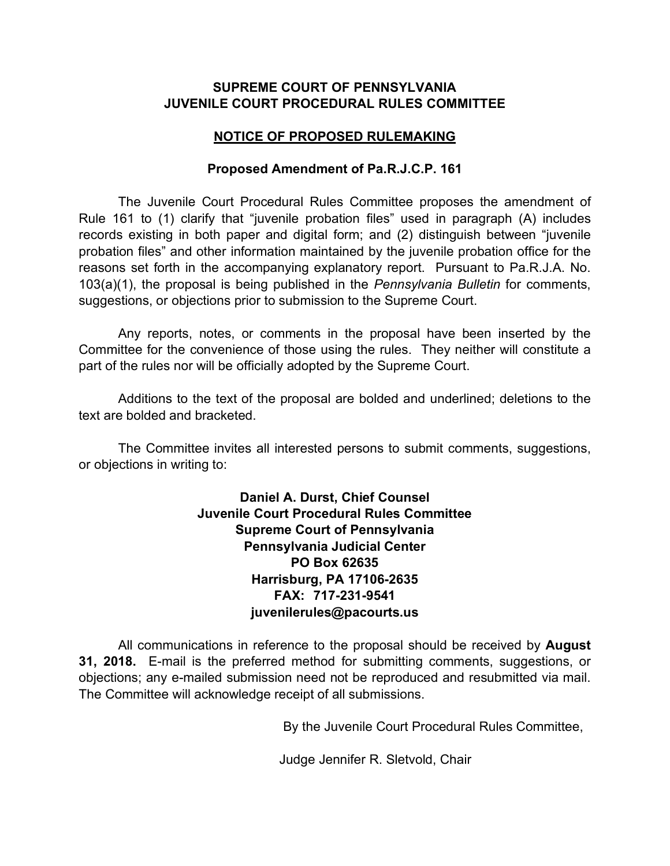# **SUPREME COURT OF PENNSYLVANIA JUVENILE COURT PROCEDURAL RULES COMMITTEE**

# **NOTICE OF PROPOSED RULEMAKING**

### **Proposed Amendment of Pa.R.J.C.P. 161**

The Juvenile Court Procedural Rules Committee proposes the amendment of Rule 161 to (1) clarify that "juvenile probation files" used in paragraph (A) includes records existing in both paper and digital form; and (2) distinguish between "juvenile probation files" and other information maintained by the juvenile probation office for the reasons set forth in the accompanying explanatory report. Pursuant to Pa.R.J.A. No. 103(a)(1), the proposal is being published in the *Pennsylvania Bulletin* for comments, suggestions, or objections prior to submission to the Supreme Court.

Any reports, notes, or comments in the proposal have been inserted by the Committee for the convenience of those using the rules. They neither will constitute a part of the rules nor will be officially adopted by the Supreme Court.

Additions to the text of the proposal are bolded and underlined; deletions to the text are bolded and bracketed.

The Committee invites all interested persons to submit comments, suggestions, or objections in writing to:

> **Daniel A. Durst, Chief Counsel Juvenile Court Procedural Rules Committee Supreme Court of Pennsylvania Pennsylvania Judicial Center PO Box 62635 Harrisburg, PA 17106-2635 FAX: 717-231-9541 juvenilerules@pacourts.us**

All communications in reference to the proposal should be received by **August 31, 2018.** E-mail is the preferred method for submitting comments, suggestions, or objections; any e-mailed submission need not be reproduced and resubmitted via mail. The Committee will acknowledge receipt of all submissions.

By the Juvenile Court Procedural Rules Committee,

Judge Jennifer R. Sletvold, Chair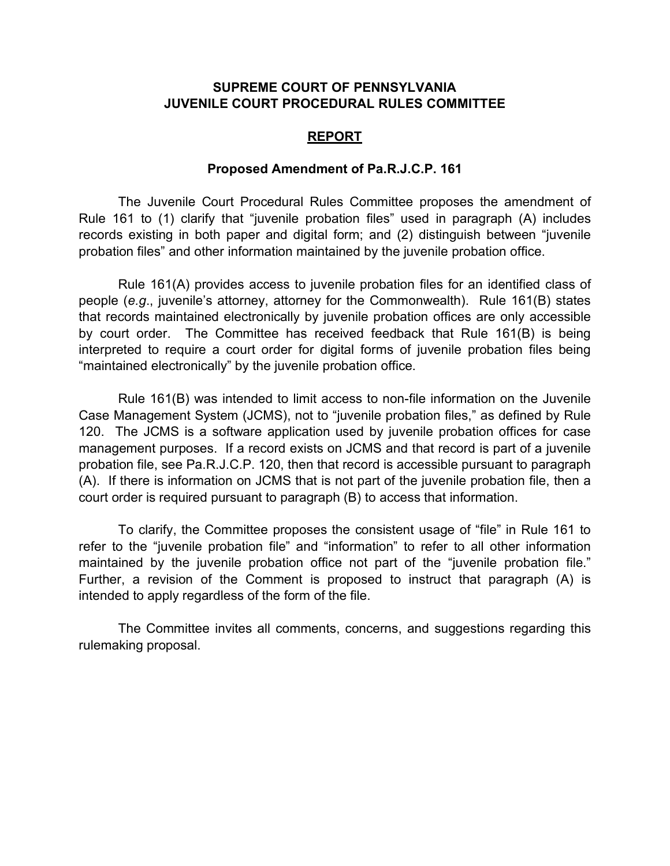### **SUPREME COURT OF PENNSYLVANIA JUVENILE COURT PROCEDURAL RULES COMMITTEE**

#### **REPORT**

#### **Proposed Amendment of Pa.R.J.C.P. 161**

The Juvenile Court Procedural Rules Committee proposes the amendment of Rule 161 to (1) clarify that "juvenile probation files" used in paragraph (A) includes records existing in both paper and digital form; and (2) distinguish between "juvenile probation files" and other information maintained by the juvenile probation office.

Rule 161(A) provides access to juvenile probation files for an identified class of people (*e.g*., juvenile's attorney, attorney for the Commonwealth). Rule 161(B) states that records maintained electronically by juvenile probation offices are only accessible by court order. The Committee has received feedback that Rule 161(B) is being interpreted to require a court order for digital forms of juvenile probation files being "maintained electronically" by the juvenile probation office.

Rule 161(B) was intended to limit access to non-file information on the Juvenile Case Management System (JCMS), not to "juvenile probation files," as defined by Rule 120. The JCMS is a software application used by juvenile probation offices for case management purposes. If a record exists on JCMS and that record is part of a juvenile probation file, see Pa.R.J.C.P. 120, then that record is accessible pursuant to paragraph (A). If there is information on JCMS that is not part of the juvenile probation file, then a court order is required pursuant to paragraph (B) to access that information.

To clarify, the Committee proposes the consistent usage of "file" in Rule 161 to refer to the "juvenile probation file" and "information" to refer to all other information maintained by the juvenile probation office not part of the "juvenile probation file." Further, a revision of the Comment is proposed to instruct that paragraph (A) is intended to apply regardless of the form of the file.

The Committee invites all comments, concerns, and suggestions regarding this rulemaking proposal.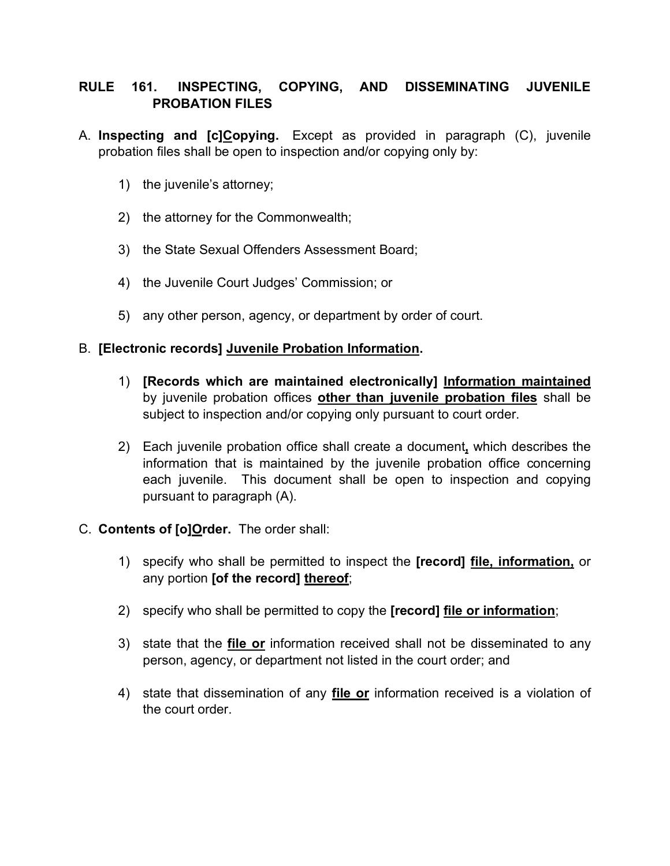# **RULE 161. INSPECTING, COPYING, AND DISSEMINATING JUVENILE PROBATION FILES**

- A. **Inspecting and [c]Copying.** Except as provided in paragraph (C), juvenile probation files shall be open to inspection and/or copying only by:
	- 1) the juvenile's attorney;
	- 2) the attorney for the Commonwealth;
	- 3) the State Sexual Offenders Assessment Board;
	- 4) the Juvenile Court Judges' Commission; or
	- 5) any other person, agency, or department by order of court.

# B. **[Electronic records] Juvenile Probation Information.**

- 1) **[Records which are maintained electronically] Information maintained** by juvenile probation offices **other than juvenile probation files** shall be subject to inspection and/or copying only pursuant to court order.
- 2) Each juvenile probation office shall create a document**,** which describes the information that is maintained by the juvenile probation office concerning each juvenile. This document shall be open to inspection and copying pursuant to paragraph (A).
- C. **Contents of [o]Order.** The order shall:
	- 1) specify who shall be permitted to inspect the **[record] file, information,** or any portion **[of the record] thereof**;
	- 2) specify who shall be permitted to copy the **[record] file or information**;
	- 3) state that the **file or** information received shall not be disseminated to any person, agency, or department not listed in the court order; and
	- 4) state that dissemination of any **file or** information received is a violation of the court order.